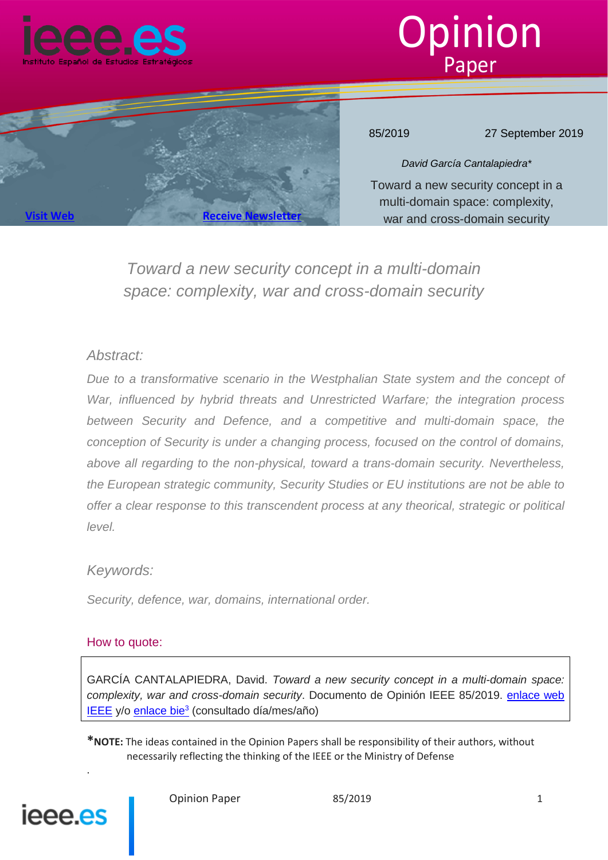





85/2019 27 September 2019

*David García Cantalapiedra\** Toward a new security concept in a multi-domain space: complexity, war and cross-domain security

*Toward a new security concept in a multi-domain space: complexity, war and cross-domain security*

#### *Abstract:*

*Due to a transformative scenario in the Westphalian State system and the concept of War, influenced by hybrid threats and Unrestricted Warfare; the integration process between Security and Defence, and a competitive and multi-domain space, the conception of Security is under a changing process, focused on the control of domains, above all regarding to the non-physical, toward a trans-domain security. Nevertheless, the European strategic community, Security Studies or EU institutions are not be able to offer a clear response to this transcendent process at any theorical, strategic or political level.*

### *Keywords:*

*Security, defence, war, domains, international order.*

#### How to quote:

GARCÍA CANTALAPIEDRA, David. *Toward a new security concept in a multi-domain space: complexity, war and cross-domain security*. Documento de Opinión IEEE 85/2019. enlace web IEEE y/o enlace bie<sup>3</sup> (consultado día/mes/año)

**\*NOTE:** The ideas contained in the Opinion Papers shall be responsibility of their authors, without necessarily reflecting the thinking of the IEEE or the Ministry of Defense



.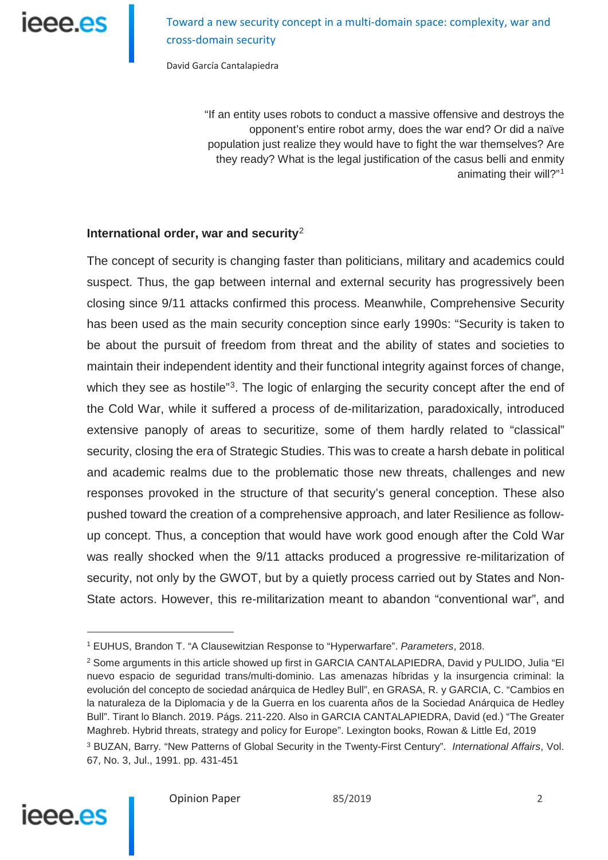Toward a new security concept in a multi-domain space: complexity, war and cross-domain security

David García Cantalapiedra

"If an entity uses robots to conduct a massive offensive and destroys the opponent's entire robot army, does the war end? Or did a naïve population just realize they would have to fight the war themselves? Are they ready? What is the legal justification of the casus belli and enmity animating their will?"[1](#page-1-0)

#### **International order, war and security**[2](#page-1-1)

The concept of security is changing faster than politicians, military and academics could suspect. Thus, the gap between internal and external security has progressively been closing since 9/11 attacks confirmed this process. Meanwhile, Comprehensive Security has been used as the main security conception since early 1990s: "Security is taken to be about the pursuit of freedom from threat and the ability of states and societies to maintain their independent identity and their functional integrity against forces of change, which they see as hostile<sup>"[3](#page-1-2)</sup>. The logic of enlarging the security concept after the end of the Cold War, while it suffered a process of de-militarization, paradoxically, introduced extensive panoply of areas to securitize, some of them hardly related to "classical" security, closing the era of Strategic Studies. This was to create a harsh debate in political and academic realms due to the problematic those new threats, challenges and new responses provoked in the structure of that security's general conception. These also pushed toward the creation of a comprehensive approach, and later Resilience as followup concept. Thus, a conception that would have work good enough after the Cold War was really shocked when the 9/11 attacks produced a progressive re-militarization of security, not only by the GWOT, but by a quietly process carried out by States and Non-State actors. However, this re-militarization meant to abandon "conventional war", and

<span id="page-1-2"></span><sup>3</sup> BUZAN, Barry. "New Patterns of Global Security in the Twenty-First Century". *International Affairs*, Vol. 67, No. 3, Jul., 1991. pp. 431-451



<sup>1</sup> EUHUS, Brandon T. "A Clausewitzian Response to "Hyperwarfare". *Parameters*, 2018.

<span id="page-1-1"></span><span id="page-1-0"></span><sup>&</sup>lt;sup>2</sup> Some arguments in this article showed up first in GARCIA CANTALAPIEDRA, David y PULIDO, Julia "El nuevo espacio de seguridad trans/multi-dominio. Las amenazas híbridas y la insurgencia criminal: la evolución del concepto de sociedad anárquica de Hedley Bull", en GRASA, R. y GARCIA, C. "Cambios en la naturaleza de la Diplomacia y de la Guerra en los cuarenta años de la Sociedad Anárquica de Hedley Bull". Tirant lo Blanch. 2019. Págs. 211-220. Also in GARCIA CANTALAPIEDRA, David (ed.) "The Greater Maghreb. Hybrid threats, strategy and policy for Europe". Lexington books, Rowan & Little Ed, 2019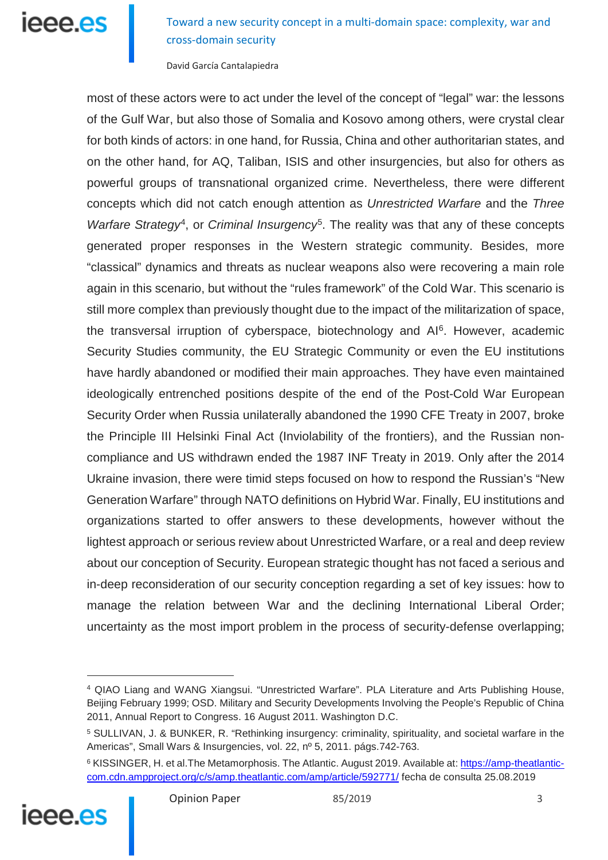Toward a new security concept in a multi-domain space: complexity, war and cross-domain security

David García Cantalapiedra

most of these actors were to act under the level of the concept of "legal" war: the lessons of the Gulf War, but also those of Somalia and Kosovo among others, were crystal clear for both kinds of actors: in one hand, for Russia, China and other authoritarian states, and on the other hand, for AQ, Taliban, ISIS and other insurgencies, but also for others as powerful groups of transnational organized crime. Nevertheless, there were different concepts which did not catch enough attention as *Unrestricted Warfare* and the *Three Warfare Strategy<sup>4</sup>*, or *Criminal Insurgency*<sup>5</sup>. The reality was that any of these concepts generated proper responses in the Western strategic community. Besides, more "classical" dynamics and threats as nuclear weapons also were recovering a main role again in this scenario, but without the "rules framework" of the Cold War. This scenario is still more complex than previously thought due to the impact of the militarization of space, the transversal irruption of cyberspace, biotechnology and AI<sup>[6](#page-2-2)</sup>. However, academic Security Studies community, the EU Strategic Community or even the EU institutions have hardly abandoned or modified their main approaches. They have even maintained ideologically entrenched positions despite of the end of the Post-Cold War European Security Order when Russia unilaterally abandoned the 1990 CFE Treaty in 2007, broke the Principle III Helsinki Final Act (Inviolability of the frontiers), and the Russian noncompliance and US withdrawn ended the 1987 INF Treaty in 2019. Only after the 2014 Ukraine invasion, there were timid steps focused on how to respond the Russian's "New Generation Warfare" through NATO definitions on Hybrid War. Finally, EU institutions and organizations started to offer answers to these developments, however without the lightest approach or serious review about Unrestricted Warfare, or a real and deep review about our conception of Security. European strategic thought has not faced a serious and in-deep reconsideration of our security conception regarding a set of key issues: how to manage the relation between War and the declining International Liberal Order; uncertainty as the most import problem in the process of security-defense overlapping;

<span id="page-2-2"></span><span id="page-2-1"></span><span id="page-2-0"></span><sup>&</sup>lt;sup>6</sup> KISSINGER, H. et al. The Metamorphosis. The Atlantic. August 2019. Available at: [https://amp-theatlantic](https://amp-theatlantic-com.cdn.ampproject.org/c/s/amp.theatlantic.com/amp/article/592771/)[com.cdn.ampproject.org/c/s/amp.theatlantic.com/amp/article/592771/](https://amp-theatlantic-com.cdn.ampproject.org/c/s/amp.theatlantic.com/amp/article/592771/) fecha de consulta 25.08.2019



<sup>4</sup> QIAO Liang and WANG Xiangsui. "Unrestricted Warfare". PLA Literature and Arts Publishing House, Beijing February 1999; OSD. Military and Security Developments Involving the People's Republic of China 2011, Annual Report to Congress. 16 August 2011. Washington D.C.

<sup>5</sup> SULLIVAN, J. & BUNKER, R. "Rethinking insurgency: criminality, spirituality, and societal warfare in the Americas", Small Wars & Insurgencies, vol. 22, nº 5, 2011. págs.742-763.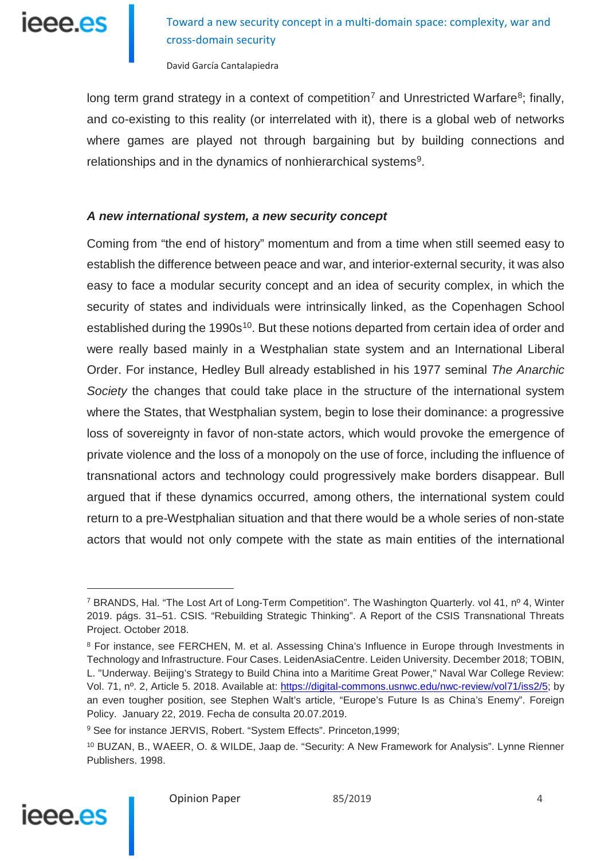**leee.es** 

Toward a new security concept in a multi-domain space: complexity, war and cross-domain security

David García Cantalapiedra

long term grand strategy in a context of competition<sup>[7](#page-3-0)</sup> and Unrestricted Warfare<sup>8</sup>; finally, and co-existing to this reality (or interrelated with it), there is a global web of networks where games are played not through bargaining but by building connections and relationships and in the dynamics of nonhierarchical systems<sup>9</sup>.

#### *A new international system, a new security concept*

Coming from "the end of history" momentum and from a time when still seemed easy to establish the difference between peace and war, and interior-external security, it was also easy to face a modular security concept and an idea of security complex, in which the security of states and individuals were intrinsically linked, as the Copenhagen School established during the 1990s<sup>10</sup>. But these notions departed from certain idea of order and were really based mainly in a Westphalian state system and an International Liberal Order. For instance, Hedley Bull already established in his 1977 seminal *The Anarchic Society* the changes that could take place in the structure of the international system where the States, that Westphalian system, begin to lose their dominance: a progressive loss of sovereignty in favor of non-state actors, which would provoke the emergence of private violence and the loss of a monopoly on the use of force, including the influence of transnational actors and technology could progressively make borders disappear. Bull argued that if these dynamics occurred, among others, the international system could return to a pre-Westphalian situation and that there would be a whole series of non-state actors that would not only compete with the state as main entities of the international

<span id="page-3-3"></span><span id="page-3-2"></span><sup>10</sup> BUZAN, B., WAEER, O. & WILDE, Jaap de. "Security: A New Framework for Analysis". Lynne Rienner Publishers. 1998.



<span id="page-3-0"></span><sup>7</sup> BRANDS, Hal. "The Lost Art of Long-Term Competition". The Washington Quarterly. vol 41, nº 4, Winter 2019. págs. 31–51. CSIS. "Rebuilding Strategic Thinking". A Report of the CSIS Transnational Threats Project. October 2018.

<span id="page-3-1"></span><sup>8</sup> For instance, see FERCHEN, M. et al. Assessing China's Influence in Europe through Investments in Technology and Infrastructure. Four Cases. LeidenAsiaCentre. Leiden University. December 2018; TOBIN, L. "Underway. Beijing's Strategy to Build China into a Maritime Great Power," Naval War College Review: Vol. 71, nº. 2, Article 5. 2018. Available at: [https://digital-commons.usnwc.edu/nwc-review/vol71/iss2/5;](https://digital-commons.usnwc.edu/nwc-review/vol71/iss2/5) by an even tougher position, see Stephen Walt's article, "Europe's Future Is as China's Enemy". Foreign Policy. January 22, 2019. Fecha de consulta 20.07.2019.

<sup>9</sup> See for instance JERVIS, Robert. "System Effects". Princeton,1999;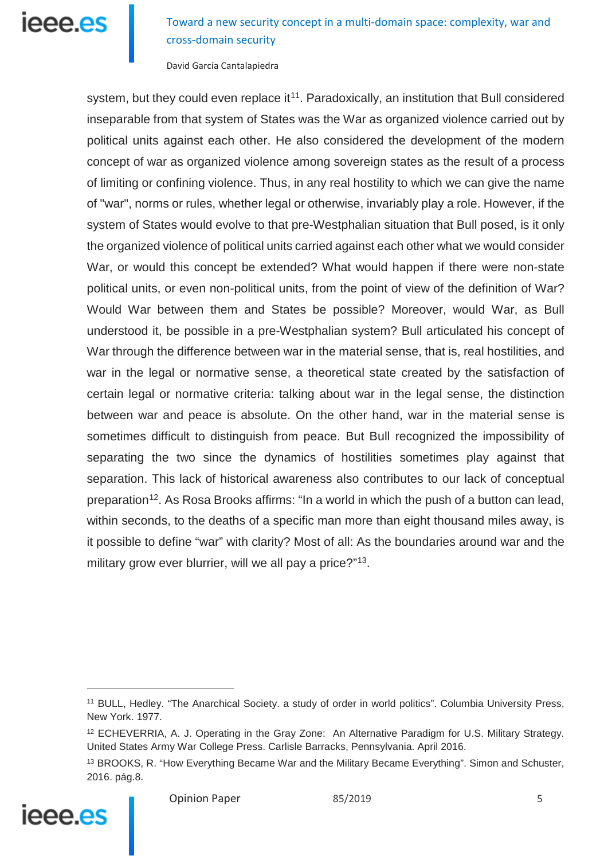## leee.es

Toward a new security concept in a multi-domain space: complexity, war and cross-domain security

David García Cantalapiedra

system, but they could even replace it<sup>11</sup>. Paradoxically, an institution that Bull considered inseparable from that system of States was the War as organized violence carried out by political units against each other. He also considered the development of the modern concept of war as organized violence among sovereign states as the result of a process of limiting or confining violence. Thus, in any real hostility to which we can give the name of "war", norms or rules, whether legal or otherwise, invariably play a role. However, if the system of States would evolve to that pre-Westphalian situation that Bull posed, is it only the organized violence of political units carried against each other what we would consider War, or would this concept be extended? What would happen if there were non-state political units, or even non-political units, from the point of view of the definition of War? Would War between them and States be possible? Moreover, would War, as Bull understood it, be possible in a pre-Westphalian system? Bull articulated his concept of War through the difference between war in the material sense, that is, real hostilities, and war in the legal or normative sense, a theoretical state created by the satisfaction of certain legal or normative criteria: talking about war in the legal sense, the distinction between war and peace is absolute. On the other hand, war in the material sense is sometimes difficult to distinguish from peace. But Bull recognized the impossibility of separating the two since the dynamics of hostilities sometimes play against that separation. This lack of historical awareness also contributes to our lack of conceptual preparation<sup>[12](#page-4-1)</sup>. As Rosa Brooks affirms: "In a world in which the push of a button can lead, within seconds, to the deaths of a specific man more than eight thousand miles away, is it possible to define "war" with clarity? Most of all: As the boundaries around war and the military grow ever blurrier, will we all pay a price?"<sup>[13](#page-4-2)</sup>.

<span id="page-4-2"></span><span id="page-4-1"></span><span id="page-4-0"></span><sup>&</sup>lt;sup>13</sup> BROOKS, R. "How Everything Became War and the Military Became Everything". Simon and Schuster, 2016. pág.8.



<sup>&</sup>lt;sup>11</sup> BULL, Hedley. "The Anarchical Society. a study of order in world politics". Columbia University Press, New York. 1977.

<sup>12</sup> ECHEVERRIA, A. J. Operating in the Gray Zone: An Alternative Paradigm for U.S. Military Strategy. United States Army War College Press. Carlisle Barracks, Pennsylvania. April 2016.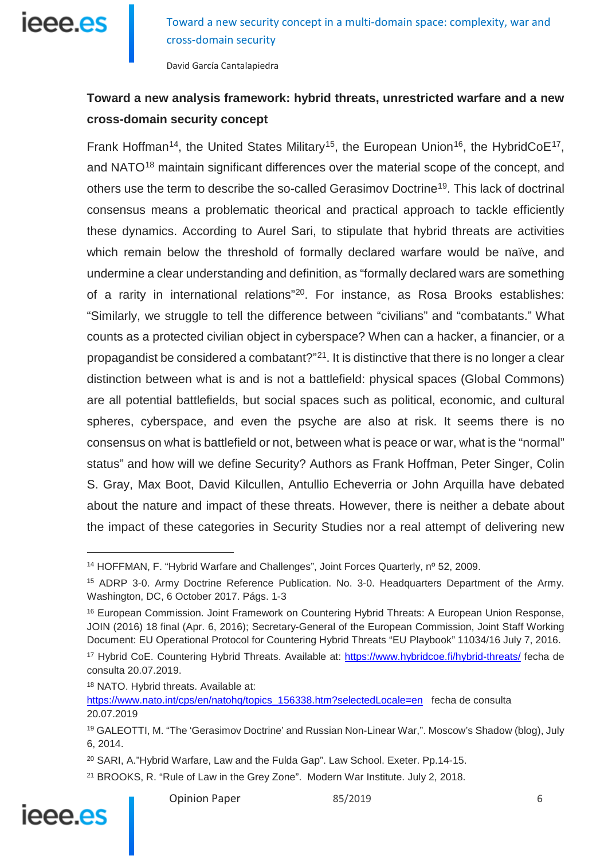

David García Cantalapiedra

### **Toward a new analysis framework: hybrid threats, unrestricted warfare and a new cross-domain security concept**

Frank Hoffman<sup>14</sup>, the United States Military<sup>15</sup>, the European Union<sup>[16](#page-5-2)</sup>, the HybridCoE<sup>[17](#page-5-3)</sup>, and NATO<sup>[18](#page-5-4)</sup> maintain significant differences over the material scope of the concept, and others use the term to describe the so-called Gerasimov Doctrine[19.](#page-5-5) This lack of doctrinal consensus means a problematic theorical and practical approach to tackle efficiently these dynamics. According to Aurel Sari, to stipulate that hybrid threats are activities which remain below the threshold of formally declared warfare would be naïve, and undermine a clear understanding and definition, as "formally declared wars are something of a rarity in international relations"[20](#page-5-6). For instance, as Rosa Brooks establishes: "Similarly, we struggle to tell the difference between "civilians" and "combatants." What counts as a protected civilian object in cyberspace? When can a hacker, a financier, or a propagandist be considered a combatant? $121$ . It is distinctive that there is no longer a clear distinction between what is and is not a battlefield: physical spaces (Global Commons) are all potential battlefields, but social spaces such as political, economic, and cultural spheres, cyberspace, and even the psyche are also at risk. It seems there is no consensus on what is battlefield or not, between what is peace or war, what is the "normal" status" and how will we define Security? Authors as Frank Hoffman, Peter Singer, Colin S. Gray, Max Boot, David Kilcullen, Antullio Echeverria or John Arquilla have debated about the nature and impact of these threats. However, there is neither a debate about the impact of these categories in Security Studies nor a real attempt of delivering new

<sup>18</sup> NATO. Hybrid threats. Available at:

<span id="page-5-7"></span><span id="page-5-6"></span><span id="page-5-5"></span><sup>21</sup> BROOKS, R. "Rule of Law in the Grey Zone". Modern War Institute. July 2, 2018.



<span id="page-5-0"></span><sup>&</sup>lt;sup>14</sup> HOFFMAN, F. "Hybrid Warfare and Challenges", Joint Forces Quarterly, nº 52, 2009.

<span id="page-5-1"></span><sup>15</sup> ADRP 3-0. Army Doctrine Reference Publication. No. 3-0. Headquarters Department of the Army. Washington, DC, 6 October 2017. Págs. 1-3

<span id="page-5-2"></span><sup>16</sup> European Commission. Joint Framework on Countering Hybrid Threats: A European Union Response, JOIN (2016) 18 final (Apr. 6, 2016); Secretary-General of the European Commission, Joint Staff Working Document: EU Operational Protocol for Countering Hybrid Threats "EU Playbook" 11034/16 July 7, 2016.

<span id="page-5-3"></span><sup>17</sup> Hybrid CoE. Countering Hybrid Threats. Available at:<https://www.hybridcoe.fi/hybrid-threats/> fecha de consulta 20.07.2019.

<span id="page-5-4"></span>[https://www.nato.int/cps/en/natohq/topics\\_156338.htm?selectedLocale=en](https://www.nato.int/cps/en/natohq/topics_156338.htm?selectedLocale=en) fecha de consulta 20.07.2019

<sup>19</sup> GALEOTTI, M. "The 'Gerasimov Doctrine' and Russian Non-Linear War,". Moscow's Shadow (blog), July 6, 2014.

<sup>20</sup> SARI, A."Hybrid Warfare, Law and the Fulda Gap". Law School. Exeter. Pp.14-15.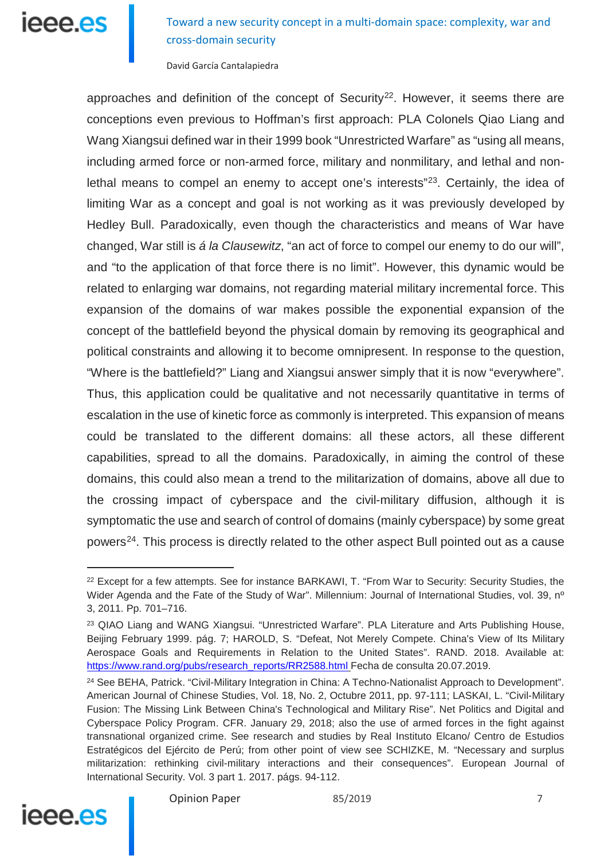Toward a new security concept in a multi-domain space: complexity, war and cross-domain security

David García Cantalapiedra

approaches and definition of the concept of Security<sup>[22](#page-6-0)</sup>. However, it seems there are conceptions even previous to Hoffman's first approach: PLA Colonels Qiao Liang and Wang Xiangsui defined war in their 1999 book "Unrestricted Warfare" as "using all means, including armed force or non-armed force, military and nonmilitary, and lethal and non-lethal means to compel an enemy to accept one's interests"<sup>[23](#page-6-1)</sup>. Certainly, the idea of limiting War as a concept and goal is not working as it was previously developed by Hedley Bull. Paradoxically, even though the characteristics and means of War have changed, War still is *á la Clausewitz*, "an act of force to compel our enemy to do our will", and "to the application of that force there is no limit". However, this dynamic would be related to enlarging war domains, not regarding material military incremental force. This expansion of the domains of war makes possible the exponential expansion of the concept of the battlefield beyond the physical domain by removing its geographical and political constraints and allowing it to become omnipresent. In response to the question, "Where is the battlefield?" Liang and Xiangsui answer simply that it is now "everywhere". Thus, this application could be qualitative and not necessarily quantitative in terms of escalation in the use of kinetic force as commonly is interpreted. This expansion of means could be translated to the different domains: all these actors, all these different capabilities, spread to all the domains. Paradoxically, in aiming the control of these domains, this could also mean a trend to the militarization of domains, above all due to the crossing impact of cyberspace and the civil-military diffusion, although it is symptomatic the use and search of control of domains (mainly cyberspace) by some great powers<sup>[24](#page-6-2)</sup>. This process is directly related to the other aspect Bull pointed out as a cause

<span id="page-6-2"></span><span id="page-6-1"></span><sup>24</sup> See BEHA, Patrick. "Civil-Military Integration in China: A Techno-Nationalist Approach to Development". American Journal of Chinese Studies, Vol. 18, No. 2, Octubre 2011, pp. 97-111; LASKAI, L. "Civil-Military Fusion: The Missing Link Between China's Technological and Military Rise". Net Politics and Digital and Cyberspace Policy Program. CFR. January 29, 2018; also the use of armed forces in the fight against transnational organized crime. See research and studies by Real Instituto Elcano/ Centro de Estudios Estratégicos del Ejército de Perú; from other point of view see SCHIZKE, M. "Necessary and surplus militarization: rethinking civil-military interactions and their consequences". European Journal of International Security. Vol. 3 part 1. 2017. págs. 94-112.



<span id="page-6-0"></span><sup>&</sup>lt;sup>22</sup> Except for a few attempts. See for instance BARKAWI, T. "From War to Security: Security Studies, the Wider Agenda and the Fate of the Study of War". Millennium: Journal of International Studies, vol. 39, nº 3, 2011. Pp. 701–716.

<sup>&</sup>lt;sup>23</sup> QIAO Liang and WANG Xiangsui. "Unrestricted Warfare". PLA Literature and Arts Publishing House, Beijing February 1999. pág. 7; HAROLD, S. "Defeat, Not Merely Compete. China's View of Its Military Aerospace Goals and Requirements in Relation to the United States". RAND. 2018. Available at: [https://www.rand.org/pubs/research\\_reports/RR2588.html](https://www.rand.org/pubs/research_reports/RR2588.html) Fecha de consulta 20.07.2019.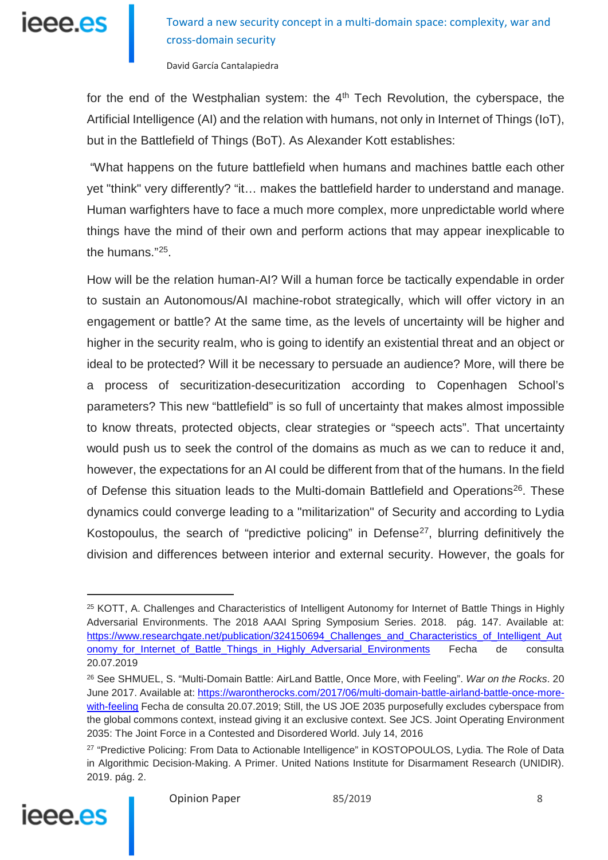

David García Cantalapiedra

for the end of the Westphalian system: the  $4<sup>th</sup>$  Tech Revolution, the cyberspace, the Artificial Intelligence (AI) and the relation with humans, not only in Internet of Things (IoT), but in the Battlefield of Things (BoT). As Alexander Kott establishes:

"What happens on the future battlefield when humans and machines battle each other yet "think" very differently? "it… makes the battlefield harder to understand and manage. Human warfighters have to face a much more complex, more unpredictable world where things have the mind of their own and perform actions that may appear inexplicable to the humans."[25.](#page-7-0)

How will be the relation human-AI? Will a human force be tactically expendable in order to sustain an Autonomous/AI machine-robot strategically, which will offer victory in an engagement or battle? At the same time, as the levels of uncertainty will be higher and higher in the security realm, who is going to identify an existential threat and an object or ideal to be protected? Will it be necessary to persuade an audience? More, will there be a process of securitization-desecuritization according to Copenhagen School's parameters? This new "battlefield" is so full of uncertainty that makes almost impossible to know threats, protected objects, clear strategies or "speech acts". That uncertainty would push us to seek the control of the domains as much as we can to reduce it and, however, the expectations for an AI could be different from that of the humans. In the field of Defense this situation leads to the Multi-domain Battlefield and Operations<sup>26</sup>. These dynamics could converge leading to a "militarization" of Security and according to Lydia Kostopoulus, the search of "predictive policing" in Defense<sup>[27](#page-7-2)</sup>, blurring definitively the division and differences between interior and external security. However, the goals for

<span id="page-7-2"></span><span id="page-7-1"></span><sup>&</sup>lt;sup>27</sup> "Predictive Policing: From Data to Actionable Intelligence" in KOSTOPOULOS, Lydia. The Role of Data in Algorithmic Decision-Making. A Primer. United Nations Institute for Disarmament Research (UNIDIR). 2019. pág. 2.



<span id="page-7-0"></span><sup>&</sup>lt;sup>25</sup> KOTT, A. Challenges and Characteristics of Intelligent Autonomy for Internet of Battle Things in Highly Adversarial Environments. The 2018 AAAI Spring Symposium Series. 2018. pág. 147. Available at: https://www.researchgate.net/publication/324150694 Challenges and Characteristics of Intelligent Aut [onomy\\_for\\_Internet\\_of\\_Battle\\_Things\\_in\\_Highly\\_Adversarial\\_Environments](https://www.researchgate.net/publication/324150694_Challenges_and_Characteristics_of_Intelligent_Autonomy_for_Internet_of_Battle_Things_in_Highly_Adversarial_Environments) Fecha de consulta 20.07.2019

<sup>26</sup> See SHMUEL, S. "Multi-Domain Battle: AirLand Battle, Once More, with Feeling". *War on the Rocks*. 20 June 2017. Available at: [https://warontherocks.com/2017/06/multi-domain-battle-airland-battle-once-more](https://warontherocks.com/2017/06/multi-domain-battle-airland-battle-once-more-with-feeling%20Fecha%20de%20consulta%205)[with-feeling](https://warontherocks.com/2017/06/multi-domain-battle-airland-battle-once-more-with-feeling%20Fecha%20de%20consulta%205) Fecha de consulta 20.07.2019; Still, the US JOE 2035 purposefully excludes cyberspace from the global commons context, instead giving it an exclusive context. See JCS. Joint Operating Environment 2035: The Joint Force in a Contested and Disordered World. July 14, 2016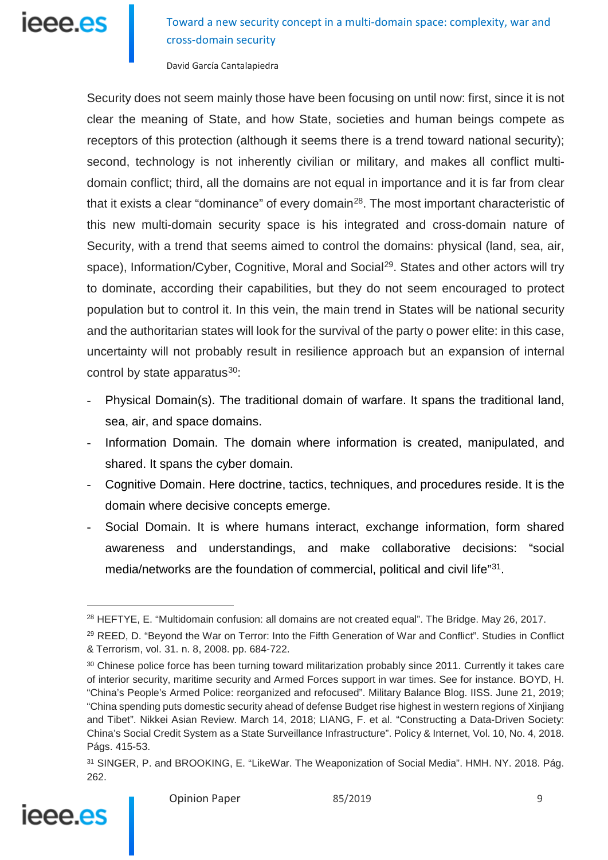# leee.es

Toward a new security concept in a multi-domain space: complexity, war and cross-domain security

David García Cantalapiedra

Security does not seem mainly those have been focusing on until now: first, since it is not clear the meaning of State, and how State, societies and human beings compete as receptors of this protection (although it seems there is a trend toward national security); second, technology is not inherently civilian or military, and makes all conflict multidomain conflict; third, all the domains are not equal in importance and it is far from clear that it exists a clear "dominance" of every domain<sup>28</sup>. The most important characteristic of this new multi-domain security space is his integrated and cross-domain nature of Security, with a trend that seems aimed to control the domains: physical (land, sea, air, space), Information/Cyber, Cognitive, Moral and Social<sup>[29](#page-8-1)</sup>. States and other actors will try to dominate, according their capabilities, but they do not seem encouraged to protect population but to control it. In this vein, the main trend in States will be national security and the authoritarian states will look for the survival of the party o power elite: in this case, uncertainty will not probably result in resilience approach but an expansion of internal control by state apparatus<sup>30</sup>:

- Physical Domain(s). The traditional domain of warfare. It spans the traditional land, sea, air, and space domains.
- Information Domain. The domain where information is created, manipulated, and shared. It spans the cyber domain.
- Cognitive Domain. Here doctrine, tactics, techniques, and procedures reside. It is the domain where decisive concepts emerge.
- Social Domain. It is where humans interact, exchange information, form shared awareness and understandings, and make collaborative decisions: "social media/networks are the foundation of commercial, political and civil life<sup>"31</sup>.

<span id="page-8-3"></span><sup>31</sup> SINGER, P. and BROOKING, E. "LikeWar. The Weaponization of Social Media". HMH. NY. 2018. Pág. 262.



<span id="page-8-0"></span><sup>&</sup>lt;sup>28</sup> HEFTYE, E. "Multidomain confusion: all domains are not created equal". The Bridge. May 26, 2017.

<span id="page-8-1"></span><sup>&</sup>lt;sup>29</sup> REED, D. "Beyond the War on Terror: Into the Fifth Generation of War and Conflict". Studies in Conflict & Terrorism, vol. 31. n. 8, 2008. pp. 684-722.

<span id="page-8-2"></span><sup>&</sup>lt;sup>30</sup> Chinese police force has been turning toward militarization probably since 2011. Currently it takes care of interior security, maritime security and Armed Forces support in war times. See for instance. BOYD, H. "China's People's Armed Police: reorganized and refocused". Military Balance Blog. IISS. June 21, 2019; "China spending puts domestic security ahead of defense Budget rise highest in western regions of Xinjiang and Tibet". Nikkei Asian Review. March 14, 2018; LIANG, F. et al. "Constructing a Data-Driven Society: China's Social Credit System as a State Surveillance Infrastructure". Policy & Internet, Vol. 10, No. 4, 2018. Págs. 415-53.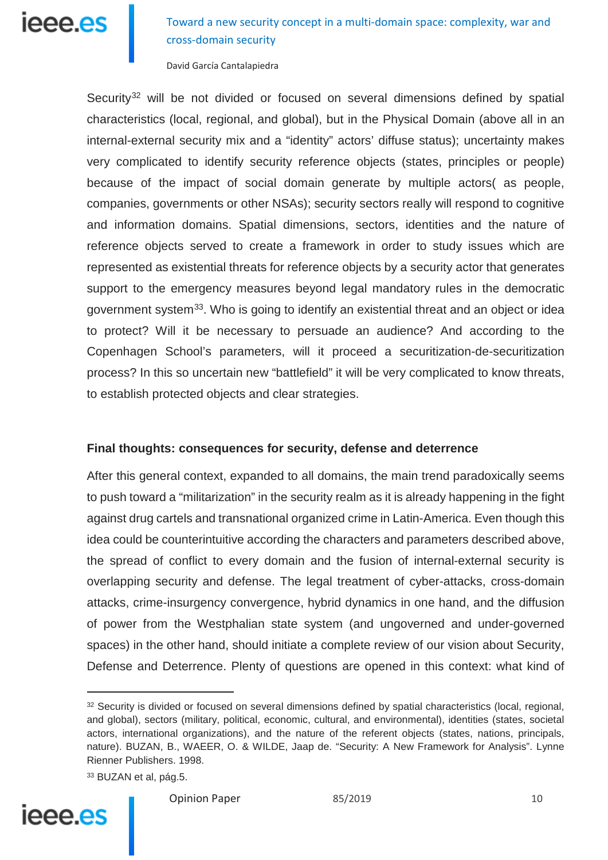Toward a new security concept in a multi-domain space: complexity, war and cross-domain security

David García Cantalapiedra

Security<sup>[32](#page-9-0)</sup> will be not divided or focused on several dimensions defined by spatial characteristics (local, regional, and global), but in the Physical Domain (above all in an internal-external security mix and a "identity" actors' diffuse status); uncertainty makes very complicated to identify security reference objects (states, principles or people) because of the impact of social domain generate by multiple actors( as people, companies, governments or other NSAs); security sectors really will respond to cognitive and information domains. Spatial dimensions, sectors, identities and the nature of reference objects served to create a framework in order to study issues which are represented as existential threats for reference objects by a security actor that generates support to the emergency measures beyond legal mandatory rules in the democratic government system<sup>[33](#page-9-1)</sup>. Who is going to identify an existential threat and an object or idea to protect? Will it be necessary to persuade an audience? And according to the Copenhagen School's parameters, will it proceed a securitization-de-securitization process? In this so uncertain new "battlefield" it will be very complicated to know threats, to establish protected objects and clear strategies.

### **Final thoughts: consequences for security, defense and deterrence**

After this general context, expanded to all domains, the main trend paradoxically seems to push toward a "militarization" in the security realm as it is already happening in the fight against drug cartels and transnational organized crime in Latin-America. Even though this idea could be counterintuitive according the characters and parameters described above, the spread of conflict to every domain and the fusion of internal-external security is overlapping security and defense. The legal treatment of cyber-attacks, cross-domain attacks, crime-insurgency convergence, hybrid dynamics in one hand, and the diffusion of power from the Westphalian state system (and ungoverned and under-governed spaces) in the other hand, should initiate a complete review of our vision about Security, Defense and Deterrence. Plenty of questions are opened in this context: what kind of

<span id="page-9-1"></span><span id="page-9-0"></span><sup>33</sup> BUZAN et al, pág.5.



<sup>32</sup> Security is divided or focused on several dimensions defined by spatial characteristics (local, regional, and global), sectors (military, political, economic, cultural, and environmental), identities (states, societal actors, international organizations), and the nature of the referent objects (states, nations, principals, nature). BUZAN, B., WAEER, O. & WILDE, Jaap de. "Security: A New Framework for Analysis". Lynne Rienner Publishers. 1998.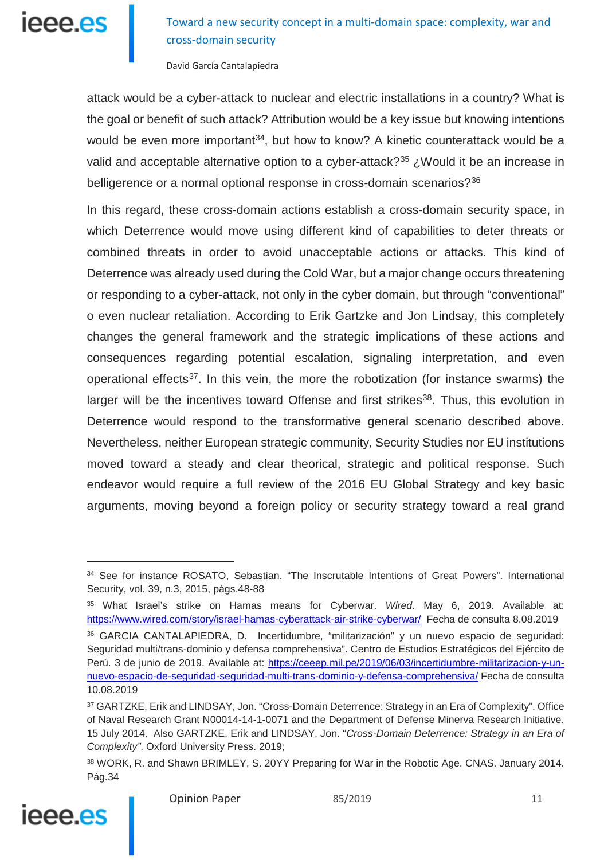

David García Cantalapiedra

attack would be a cyber-attack to nuclear and electric installations in a country? What is the goal or benefit of such attack? Attribution would be a key issue but knowing intentions would be even more important<sup>[34](#page-10-0)</sup>, but how to know? A kinetic counterattack would be a valid and acceptable alternative option to a cyber-attack?<sup>[35](#page-10-1)</sup> *i*. Would it be an increase in belligerence or a normal optional response in cross-domain scenarios?<sup>[36](#page-10-2)</sup>

In this regard, these cross-domain actions establish a cross-domain security space, in which Deterrence would move using different kind of capabilities to deter threats or combined threats in order to avoid unacceptable actions or attacks. This kind of Deterrence was already used during the Cold War, but a major change occurs threatening or responding to a cyber-attack, not only in the cyber domain, but through "conventional" o even nuclear retaliation. According to Erik Gartzke and Jon Lindsay, this completely changes the general framework and the strategic implications of these actions and consequences regarding potential escalation, signaling interpretation, and even operational effects<sup>[37](#page-10-3)</sup>. In this vein, the more the robotization (for instance swarms) the larger will be the incentives toward Offense and first strikes<sup>[38](#page-10-4)</sup>. Thus, this evolution in Deterrence would respond to the transformative general scenario described above. Nevertheless, neither European strategic community, Security Studies nor EU institutions moved toward a steady and clear theorical, strategic and political response. Such endeavor would require a full review of the 2016 EU Global Strategy and key basic arguments, moving beyond a foreign policy or security strategy toward a real grand

<span id="page-10-4"></span><span id="page-10-3"></span><sup>38</sup> WORK, R. and Shawn BRIMLEY, S. 20YY Preparing for War in the Robotic Age. CNAS. January 2014. Pág.34



<span id="page-10-0"></span><sup>34</sup> See for instance ROSATO, Sebastian. "The Inscrutable Intentions of Great Powers". International Security, vol. 39, n.3, 2015, págs.48-88

<span id="page-10-1"></span><sup>35</sup> What Israel's strike on Hamas means for Cyberwar. *Wired*. May 6, 2019. Available at: <https://www.wired.com/story/israel-hamas-cyberattack-air-strike-cyberwar/>Fecha de consulta 8.08.2019

<span id="page-10-2"></span><sup>36</sup> GARCIA CANTALAPIEDRA, D. Incertidumbre, "militarización" y un nuevo espacio de seguridad: Seguridad multi/trans-dominio y defensa comprehensiva". Centro de Estudios Estratégicos del Ejército de Perú. 3 de junio de 2019. Available at: [https://ceeep.mil.pe/2019/06/03/incertidumbre-militarizacion-y-un](https://ceeep.mil.pe/2019/06/03/incertidumbre-militarizacion-y-un-nuevo-espacio-de-seguridad-seguridad-multi-trans-dominio-y-defensa-comprehensiva/)[nuevo-espacio-de-seguridad-seguridad-multi-trans-dominio-y-defensa-comprehensiva/](https://ceeep.mil.pe/2019/06/03/incertidumbre-militarizacion-y-un-nuevo-espacio-de-seguridad-seguridad-multi-trans-dominio-y-defensa-comprehensiva/) Fecha de consulta 10.08.2019

<sup>37</sup> GARTZKE, Erik and LINDSAY, Jon. "Cross-Domain Deterrence: Strategy in an Era of Complexity". Office of Naval Research Grant N00014-14-1-0071 and the Department of Defense Minerva Research Initiative. 15 July 2014. Also GARTZKE, Erik and LINDSAY, Jon. "*Cross-Domain Deterrence: Strategy in an Era of Complexity"*. Oxford University Press. 2019;